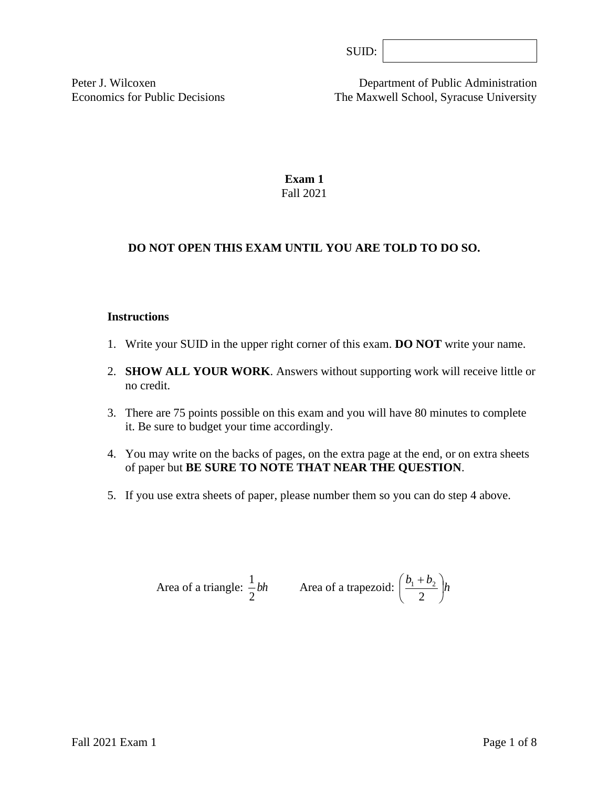Peter J. Wilcoxen Department of Public Administration Economics for Public Decisions The Maxwell School, Syracuse University

> **Exam 1** Fall 2021

# **DO NOT OPEN THIS EXAM UNTIL YOU ARE TOLD TO DO SO.**

#### **Instructions**

- 1. Write your SUID in the upper right corner of this exam. **DO NOT** write your name.
- 2. **SHOW ALL YOUR WORK**. Answers without supporting work will receive little or no credit.
- 3. There are 75 points possible on this exam and you will have 80 minutes to complete it. Be sure to budget your time accordingly.
- 4. You may write on the backs of pages, on the extra page at the end, or on extra sheets of paper but **BE SURE TO NOTE THAT NEAR THE QUESTION**.
- 5. If you use extra sheets of paper, please number them so you can do step 4 above.

Area of a triangle: 
$$
\frac{1}{2}bh
$$
 Area of a trapezoid:  $\left(\frac{b_1 + b_2}{2}\right)h$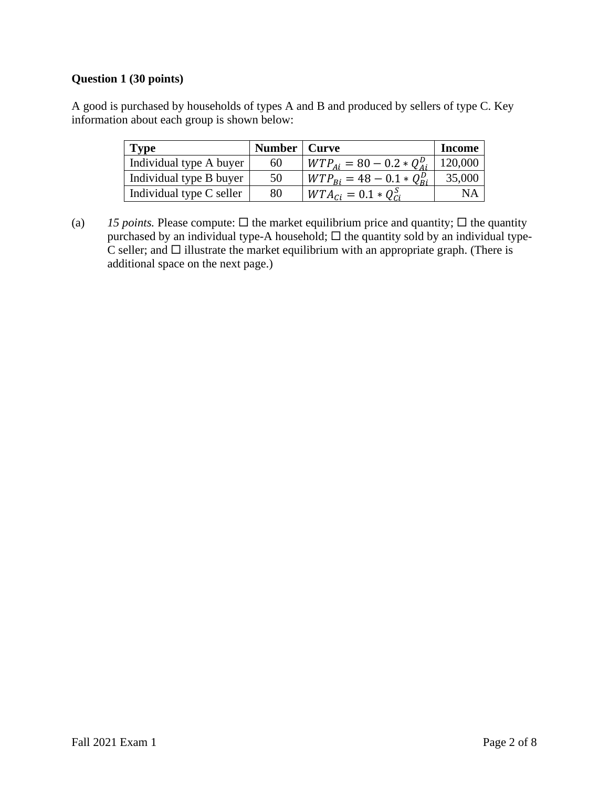## **Question 1 (30 points)**

A good is purchased by households of types A and B and produced by sellers of type C. Key information about each group is shown below:

| <b>Type</b>              | Number   Curve |                                                         | <b>Income</b> |
|--------------------------|----------------|---------------------------------------------------------|---------------|
| Individual type A buyer  | 60             | $WTP_{Ai} = 80 - 0.2 * Q_{Ai}^D$                        | 120,000       |
| Individual type B buyer  | 50             | $WTP_{\text{R}i} = 48 - 0.1 * Q_{\text{R}i}^{\text{D}}$ | 35,000        |
| Individual type C seller | 80             | $WTA_{Ci} = 0.1 * Q_{Ci}^S$                             | NΑ            |

(a) *15 points.* Please compute:  $\Box$  the market equilibrium price and quantity;  $\Box$  the quantity purchased by an individual type-A household;  $\Box$  the quantity sold by an individual type- $\overline{C}$  seller; and  $\Box$  illustrate the market equilibrium with an appropriate graph. (There is additional space on the next page.)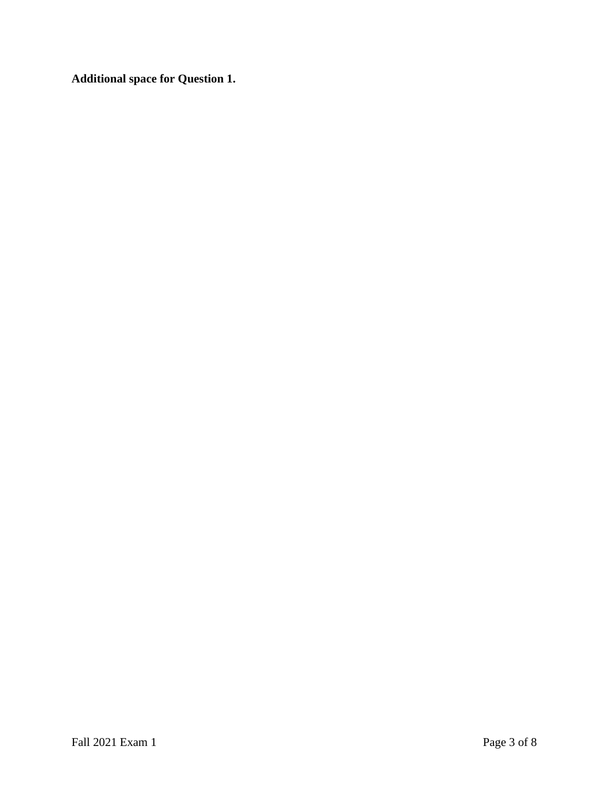**Additional space for Question 1.**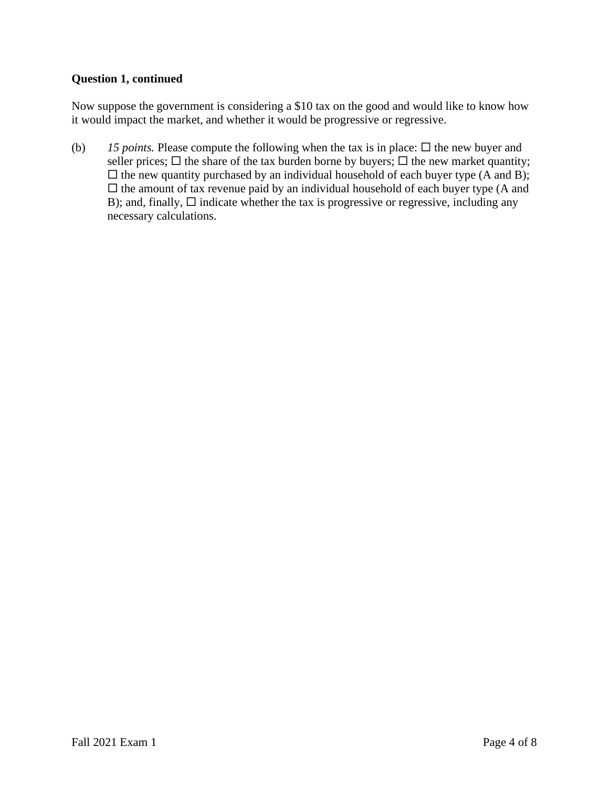### **Question 1, continued**

Now suppose the government is considering a \$10 tax on the good and would like to know how it would impact the market, and whether it would be progressive or regressive.

(b) 15 *points*. Please compute the following when the tax is in place:  $\Box$  the new buyer and seller prices;  $\Box$  the share of the tax burden borne by buyers;  $\Box$  the new market quantity;  $\Box$  the new quantity purchased by an individual household of each buyer type (A and B);  $\square$  the amount of tax revenue paid by an individual household of each buyer type (A and B); and, finally,  $\Box$  indicate whether the tax is progressive or regressive, including any necessary calculations.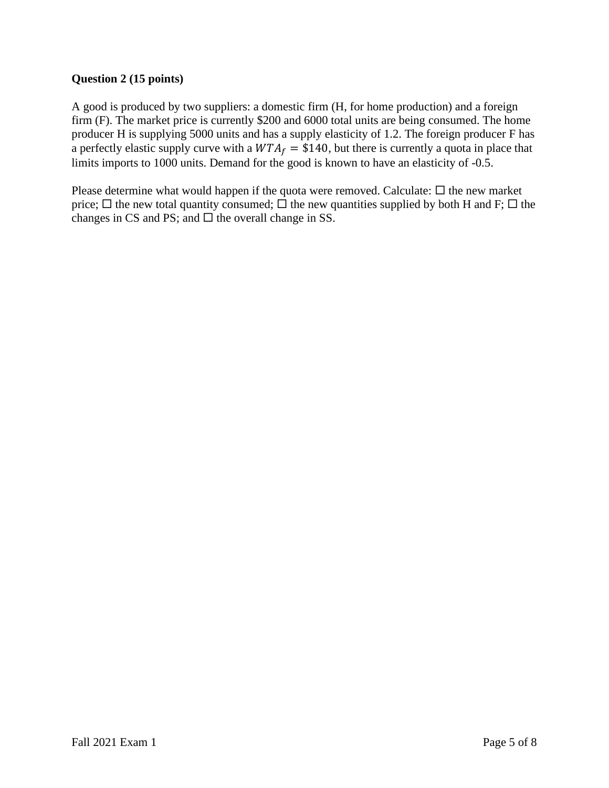# **Question 2 (15 points)**

A good is produced by two suppliers: a domestic firm (H, for home production) and a foreign firm (F). The market price is currently \$200 and 6000 total units are being consumed. The home producer H is supplying 5000 units and has a supply elasticity of 1.2. The foreign producer F has a perfectly elastic supply curve with a  $WTA_f = $140$ , but there is currently a quota in place that limits imports to 1000 units. Demand for the good is known to have an elasticity of -0.5.

Please determine what would happen if the quota were removed. Calculate:  $\Box$  the new market price;  $\Box$  the new total quantity consumed;  $\Box$  the new quantities supplied by both H and F;  $\Box$  the changes in CS and PS; and  $\Box$  the overall change in SS.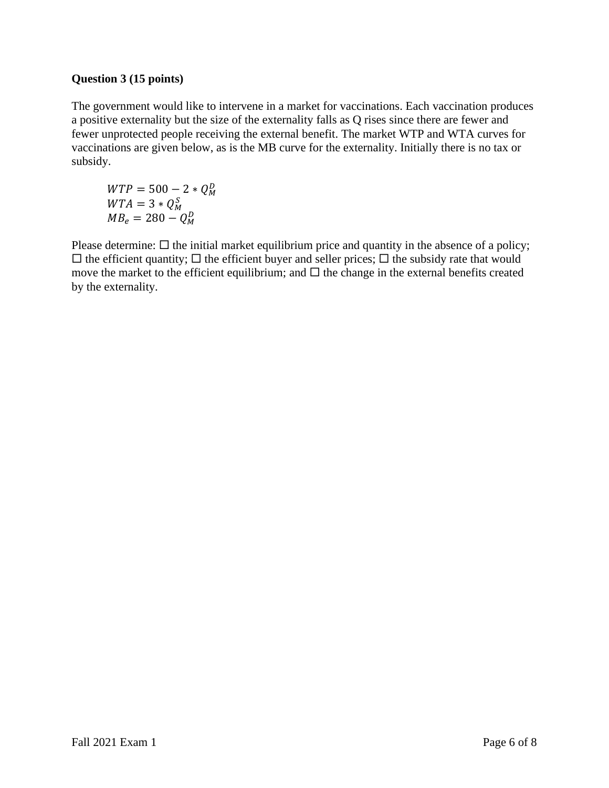### **Question 3 (15 points)**

The government would like to intervene in a market for vaccinations. Each vaccination produces a positive externality but the size of the externality falls as Q rises since there are fewer and fewer unprotected people receiving the external benefit. The market WTP and WTA curves for vaccinations are given below, as is the MB curve for the externality. Initially there is no tax or subsidy.

 $WTP = 500 - 2 * Q_M^D$  $WTA = 3 * Q_M^S$  $MB_e = 280 - Q_M^D$ 

Please determine:  $\Box$  the initial market equilibrium price and quantity in the absence of a policy;  $\Box$  the efficient quantity;  $\Box$  the efficient buyer and seller prices;  $\Box$  the subsidy rate that would move the market to the efficient equilibrium; and  $\Box$  the change in the external benefits created by the externality.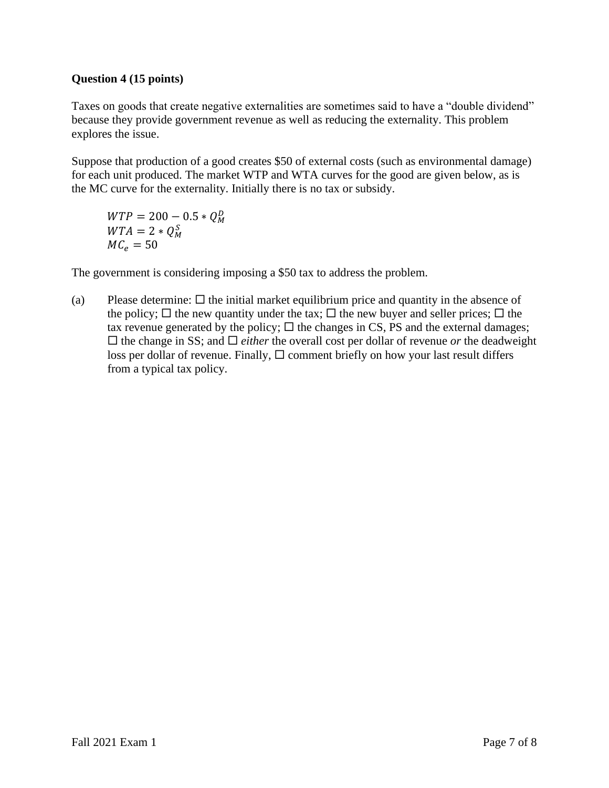## **Question 4 (15 points)**

Taxes on goods that create negative externalities are sometimes said to have a "double dividend" because they provide government revenue as well as reducing the externality. This problem explores the issue.

Suppose that production of a good creates \$50 of external costs (such as environmental damage) for each unit produced. The market WTP and WTA curves for the good are given below, as is the MC curve for the externality. Initially there is no tax or subsidy.

 $WTP = 200 - 0.5 * Q_M^D$  $WTA = 2 * Q_M^S$  $MC_e = 50$ 

The government is considering imposing a \$50 tax to address the problem.

(a) Please determine:  $\Box$  the initial market equilibrium price and quantity in the absence of the policy;  $\Box$  the new quantity under the tax;  $\Box$  the new buyer and seller prices;  $\Box$  the tax revenue generated by the policy;  $\Box$  the changes in CS, PS and the external damages;  $\Box$  the change in SS; and  $\Box$  *either* the overall cost per dollar of revenue *or* the deadweight loss per dollar of revenue. Finally,  $\Box$  comment briefly on how your last result differs from a typical tax policy.